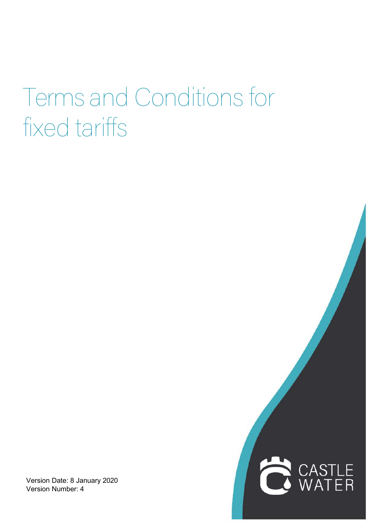## Terms and Conditions for fixed tariffs

Version Date: 8 January 2020 Version Number: 4

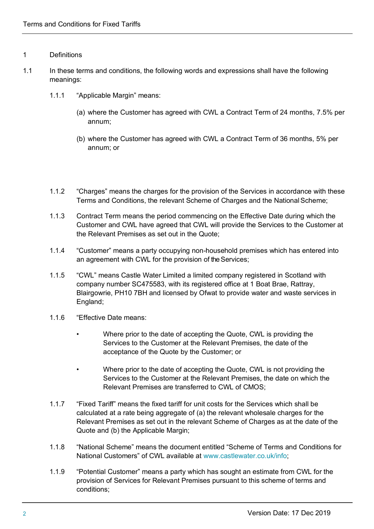## 1 Definitions

- 1.1 In these terms and conditions, the following words and expressions shall have the following meanings:
	- 1.1.1 "Applicable Margin" means:
		- (a) where the Customer has agreed with CWL a Contract Term of 24 months, 7.5% per annum;
		- (b) where the Customer has agreed with CWL a Contract Term of 36 months, 5% per annum; or
	- 1.1.2 "Charges" means the charges for the provision of the Services in accordance with these Terms and Conditions, the relevant Scheme of Charges and the NationalScheme;
	- 1.1.3 Contract Term means the period commencing on the Effective Date during which the Customer and CWL have agreed that CWL will provide the Services to the Customer at the Relevant Premises as set out in the Quote;
	- 1.1.4 "Customer" means a party occupying non-household premises which has entered into an agreement with CWL for the provision of the Services;
	- 1.1.5 "CWL" means Castle Water Limited a limited company registered in Scotland with company number SC475583, with its registered office at 1 Boat Brae, Rattray, Blairgowrie, PH10 7BH and licensed by Ofwat to provide water and waste services in England;
	- 1.1.6 "Effective Date means:
		- Where prior to the date of accepting the Quote, CWL is providing the Services to the Customer at the Relevant Premises, the date of the acceptance of the Quote by the Customer; or
		- Where prior to the date of accepting the Quote, CWL is not providing the Services to the Customer at the Relevant Premises, the date on which the Relevant Premises are transferred to CWL of CMOS;
	- 1.1.7 "Fixed Tariff" means the fixed tariff for unit costs for the Services which shall be calculated at a rate being aggregate of (a) the relevant wholesale charges for the Relevant Premises as set out in the relevant Scheme of Charges as at the date of the Quote and (b) the Applicable Margin;
	- 1.1.8 "National Scheme" means the document entitled "Scheme of Terms and Conditions for National Customers" of CWL available at www.castlewater.co.uk/info;
	- 1.1.9 "Potential Customer" means a party which has sought an estimate from CWL for the provision of Services for Relevant Premises pursuant to this scheme of terms and conditions;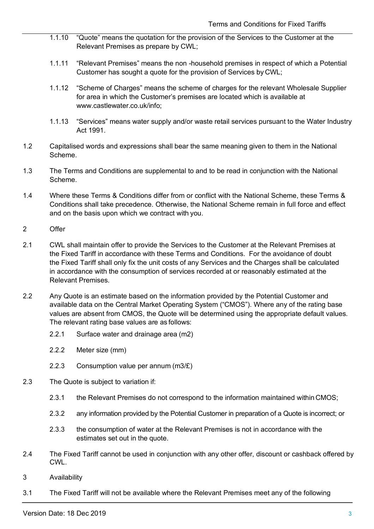- 1.1.10 "Quote" means the quotation for the provision of the Services to the Customer at the Relevant Premises as prepare by CWL;
- 1.1.11 "Relevant Premises" means the non -household premises in respect of which a Potential Customer has sought a quote for the provision of Services by CWL;
- 1.1.12 "Scheme of Charges" means the scheme of charges for the relevant Wholesale Supplier for area in which the Customer's premises are located which is available at www.castlewater.co.uk/info;
- 1.1.13 "Services" means water supply and/or waste retail services pursuant to the Water Industry Act 1991.
- 1.2 Capitalised words and expressions shall bear the same meaning given to them in the National Scheme.
- 1.3 The Terms and Conditions are supplemental to and to be read in conjunction with the National Scheme.
- 1.4 Where these Terms & Conditions differ from or conflict with the National Scheme, these Terms & Conditions shall take precedence. Otherwise, the National Scheme remain in full force and effect and on the basis upon which we contract with you.
- 2 Offer
- 2.1 CWL shall maintain offer to provide the Services to the Customer at the Relevant Premises at the Fixed Tariff in accordance with these Terms and Conditions. For the avoidance of doubt the Fixed Tariff shall only fix the unit costs of any Services and the Charges shall be calculated in accordance with the consumption of services recorded at or reasonably estimated at the Relevant Premises.
- 2.2 Any Quote is an estimate based on the information provided by the Potential Customer and available data on the Central Market Operating System ("CMOS"). Where any of the rating base values are absent from CMOS, the Quote will be determined using the appropriate default values. The relevant rating base values are as follows:
	- 2.2.1 Surface water and drainage area (m2)
	- 2.2.2 Meter size (mm)
	- 2.2.3 Consumption value per annum (m3/£)
- 2.3 The Quote is subject to variation if:
	- 2.3.1 the Relevant Premises do not correspond to the information maintained within CMOS;
	- 2.3.2 any information provided by the Potential Customer in preparation of a Quote is incorrect; or
	- 2.3.3 the consumption of water at the Relevant Premises is not in accordance with the estimates set out in the quote.
- 2.4 The Fixed Tariff cannot be used in conjunction with any other offer, discount or cashback offered by **CWL**
- 3 Availability
- 3.1 The Fixed Tariff will not be available where the Relevant Premises meet any of the following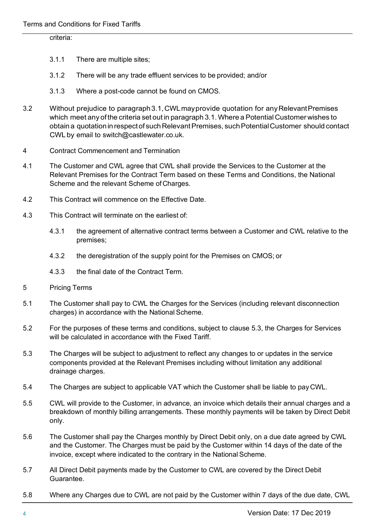## criteria:

- 3.1.1 There are multiple sites;
- 3.1.2 There will be any trade effluent services to be provided; and/or
- 3.1.3 Where a post-code cannot be found on CMOS.
- 3.2 Without prejudice to paragraph3.1,CWLmayprovide quotation for anyRelevantPremises which meet any of the criteria set out in paragraph 3.1. Where a Potential Customer wishes to obtain a quotation in respect of such Relevant Premises, such Potential Customer should contact CWL by email to switch@castlewater.co.uk.
- 4 Contract Commencement and Termination
- 4.1 The Customer and CWL agree that CWL shall provide the Services to the Customer at the Relevant Premises for the Contract Term based on these Terms and Conditions, the National Scheme and the relevant Scheme of Charges.
- 4.2 This Contract will commence on the Effective Date.
- 4.3 This Contract will terminate on the earliest of:
	- 4.3.1 the agreement of alternative contract terms between a Customer and CWL relative to the premises;
	- 4.3.2 the deregistration of the supply point for the Premises on CMOS; or
	- 4.3.3 the final date of the Contract Term.
- 5 Pricing Terms
- 5.1 The Customer shall pay to CWL the Charges for the Services (including relevant disconnection charges) in accordance with the National Scheme.
- 5.2 For the purposes of these terms and conditions, subject to clause 5.3, the Charges for Services will be calculated in accordance with the Fixed Tariff.
- 5.3 The Charges will be subject to adjustment to reflect any changes to or updates in the service components provided at the Relevant Premises including without limitation any additional drainage charges.
- 5.4 The Charges are subject to applicable VAT which the Customer shall be liable to pay CWL.
- 5.5 CWL will provide to the Customer, in advance, an invoice which details their annual charges and a breakdown of monthly billing arrangements. These monthly payments will be taken by Direct Debit only.
- 5.6 The Customer shall pay the Charges monthly by Direct Debit only, on a due date agreed by CWL and the Customer. The Charges must be paid by the Customer within 14 days of the date of the invoice, except where indicated to the contrary in the National Scheme.
- 5.7 All Direct Debit payments made by the Customer to CWL are covered by the Direct Debit Guarantee.
- 5.8 Where any Charges due to CWL are not paid by the Customer within 7 days of the due date, CWL